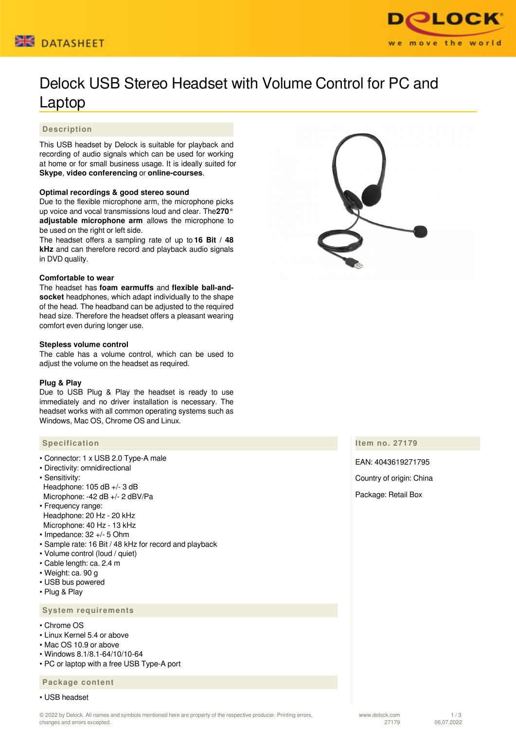



# Delock USB Stereo Headset with Volume Control for PC and Laptop

# **Description**

This USB headset by Delock is suitable for playback and recording of audio signals which can be used for working at home or for small business usage. It is ideally suited for **Skype**, **video conferencing** or **online-courses**.

## **Optimal recordings & good stereo sound**

Due to the flexible microphone arm, the microphone picks up voice and vocal transmissions loud and clear. The**270° adjustable microphone arm** allows the microphone to be used on the right or left side.

The headset offers a sampling rate of up to **16 Bit / 48 kHz** and can therefore record and playback audio signals in DVD quality.

#### **Comfortable to wear**

The headset has **foam earmuffs** and **flexible ball-andsocket** headphones, which adapt individually to the shape of the head. The headband can be adjusted to the required head size. Therefore the headset offers a pleasant wearing comfort even during longer use.

#### **Stepless volume control**

The cable has a volume control, which can be used to adjust the volume on the headset as required.

## **Plug & Play**

Due to USB Plug & Play the headset is ready to use immediately and no driver installation is necessary. The headset works with all common operating systems such as Windows, Mac OS, Chrome OS and Linux.

## **Specification**

- Connector: 1 x USB 2.0 Type-A male
- Directivity: omnidirectional
- Sensitivity: Headphone: 105 dB +/- 3 dB Microphone: -42 dB +/- 2 dBV/Pa
- Frequency range: Headphone: 20 Hz - 20 kHz Microphone: 40 Hz - 13 kHz
- 
- Impedance: 32 +/- 5 Ohm
- Sample rate: 16 Bit / 48 kHz for record and playback
- Volume control (loud / quiet) • Cable length: ca. 2.4 m
- Weight: ca. 90 g
- USB bus powered
- Plug & Play

# **System requirements**

- Chrome OS
- Linux Kernel 5.4 or above
- Mac OS 10.9 or above
- Windows 8.1/8.1-64/10/10-64
- PC or laptop with a free USB Type-A port

#### **Package content**

• USB headset



#### **Item no. 27179**

EAN: 4043619271795 Country of origin: China Package: Retail Box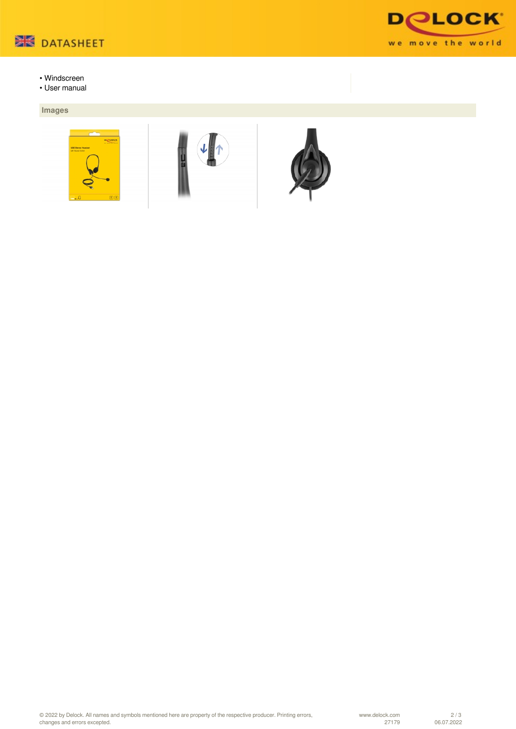

**DOLOCK** we move the world

- Windscreen
- User manual

# **Images**